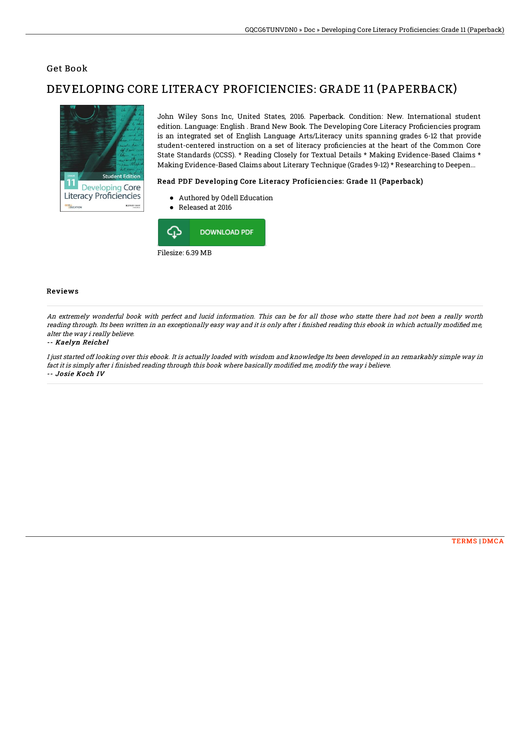## Get Book

# DEVELOPING CORE LITERACY PROFICIENCIES: GRADE 11 (PAPERBACK)



John Wiley Sons Inc, United States, 2016. Paperback. Condition: New. International student edition. Language: English . Brand New Book. The Developing Core Literacy Proficiencies program is an integrated set of English Language Arts/Literacy units spanning grades 6-12 that provide student-centered instruction on a set of literacy proficiencies at the heart of the Common Core State Standards (CCSS). \* Reading Closely for Textual Details \* Making Evidence-Based Claims \* Making Evidence-Based Claims about Literary Technique (Grades 9-12) \* Researching to Deepen...

### Read PDF Developing Core Literacy Proficiencies: Grade 11 (Paperback)

- Authored by Odell Education
- Released at 2016



Filesize: 6.39 MB

#### Reviews

An extremely wonderful book with perfect and lucid information. This can be for all those who statte there had not been <sup>a</sup> really worth reading through. Its been written in an exceptionally easy way and it is only after i finished reading this ebook in which actually modified me, alter the way i really believe.

#### -- Kaelyn Reichel

I just started off looking over this ebook. It is actually loaded with wisdom and knowledge Its been developed in an remarkably simple way in fact it is simply after i finished reading through this book where basically modified me, modify the way i believe. -- Josie Koch IV